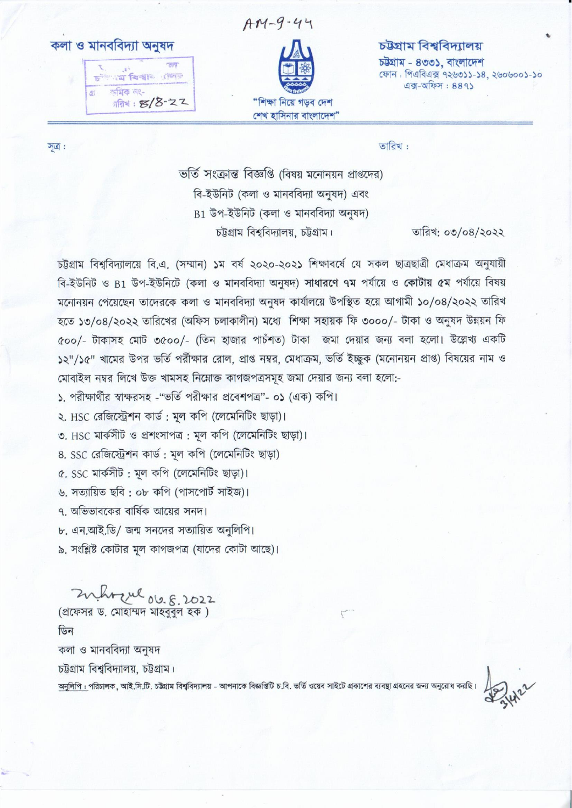কলা ও মানববিদ্যা অনুষদ





## চউগ্ৰাম বিশ্ববিদ্যালয়

চউগ্ৰাম - ৪৩৩১. বাংলাদেশ ফোন: পিএবিএক্স ৭২৬৩১১-১৪, ২৬০৬০০১-১০  $43 - 92 - 889$ 

সূত্র:

তারিখ:

ভর্তি সংক্রান্ত বিজ্ঞপ্তি (বিষয় মনোনয়ন প্রাপ্তদের) বি-ইউনিট (কলা ও মানববিদ্যা অনুষদ) এবং  $B1$  উপ-ইউনিট (কলা ও মানববিদ্যা অনুষদ) চট্টগ্রাম বিশ্ববিদ্যালয়, চট্টগ্রাম।

তারিখ: ০৩/০৪/২০২২

চউগ্রাম বিশ্ববিদ্যালয়ে বি.এ. (সম্মান) ১ম বর্ষ ২০২০-২০২১ শিক্ষাবর্ষে যে সকল ছাত্রছাত্রী মেধাক্রম অনুযায়ী বি-ইউনিট ও B1 উপ-ইউনিটে (কলা ও মানববিদ্যা অনুষদ) সাধারণে ৭ম পর্যায়ে ও কোটায় ৫ম পর্যায়ে বিষয় মনোনয়ন পেয়েছেন তাদেরকে কলা ও মানববিদ্যা অনুষদ কার্যালয়ে উপস্থিত হয়ে আগামী ১০/০৪/২০২২ তারিখ হতে ১৩/০৪/২০২২ তারিখের (অফিস চলাকালীন) মধ্যে শিক্ষা সহায়ক ফি ৩০০০/- টাকা ও অনুষদ উন্নয়ন ফি ৫০০/- টাকাসহ মোট ৩৫০০/- (তিন হাজার পার্চশত) টাকা জমা দেয়ার জন্য বলা হলো। উল্লেখ্য একটি ১২"/১৫" খামের উপর ভর্তি পর্রীক্ষার রোল, প্রাপ্ত নম্বর, মেধাক্রম, ভর্তি ইচ্ছুক (মনোনয়ন প্রাপ্ত) বিষয়ের নাম ও মোবাইল নম্বর লিখে উক্ত খামসহ নিম্নোক্ত কাগজপত্রসমূহ জমা দেয়ার জন্য বলা হলো:-

১. পরীক্ষার্থীর স্বাক্ষরসহ -"ভর্তি পরীক্ষার প্রবেশপত্র"- ০১ (এক) কপি।

২. HSC রেজিস্ট্রেশন কার্ড: মল কপি (লেমেনিটিং ছাড়া)।

৩. HSC মার্কসীট ও প্রশংসাপত্র: মূল কপি (লেমেনিটিং ছাড়া)।

8. SSC রেজিস্ট্রেশন কার্ড: মূল কপি (লেমেনিটিং ছাড়া)

৫. SSC মার্কসীট: মূল কপি (লেমেনিটিং ছাড়া)।

৬. সত্যায়িত ছবি: ০৮ কপি (পাসপোর্ট সাইজ)।

৭. অভিভাবকের বার্ষিক আয়ের সনদ।

৮. এন.আই.ডি/ জন্ম সনদের সত্যায়িত অনুলিপি।

৯. সংশ্লিষ্ট কোটার মূল কাগজপত্র (যাদের কোটা আছে)।

Zuhrzul 06.8, 2022 (প্রফেসর ড. মোহাম্মদ মাহববুল হক) ডিন কলা ও মানববিদ্যা অনুষদ চউগ্রাম বিশ্ববিদ্যালয়, চউগ্রাম। অনুলিপি : পরিচালক, আই.সি.টি. চট্টগ্রাম বিশ্ববিদ্যালয় - আপনাকে বিজ্ঞপ্তিটি চ.বি. ভর্তি ওয়েব সাইটে প্রকাশের ব্যবছা গ্রহনের জন্য অনুরোধ করছি।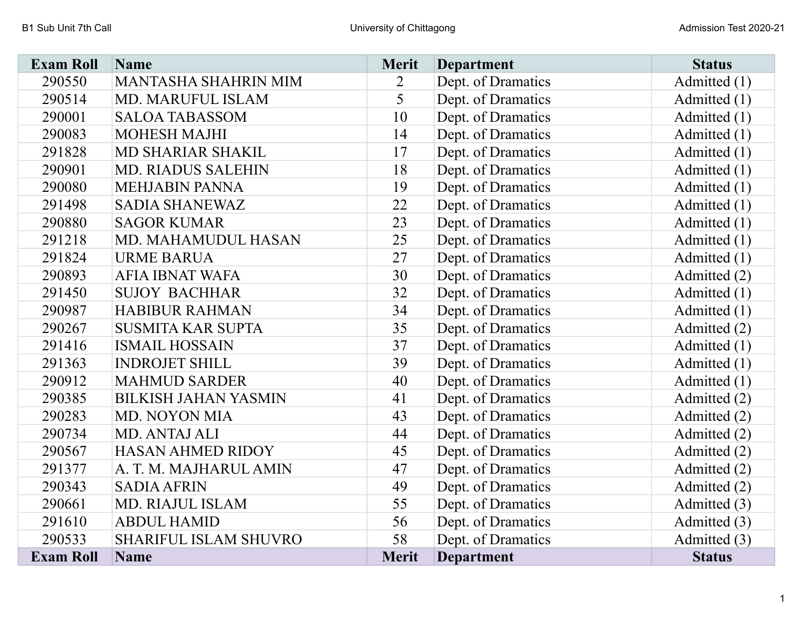| <b>Exam Roll</b> | Name                         | <b>Merit</b>   | <b>Department</b>  | <b>Status</b>  |
|------------------|------------------------------|----------------|--------------------|----------------|
| 290550           | <b>MANTASHA SHAHRIN MIM</b>  | $\overline{2}$ | Dept. of Dramatics | Admitted (1)   |
| 290514           | MD. MARUFUL ISLAM            | 5              | Dept. of Dramatics | Admitted (1)   |
| 290001           | <b>SALOA TABASSOM</b>        | 10             | Dept. of Dramatics | Admitted (1)   |
| 290083           | <b>MOHESH MAJHI</b>          | 14             | Dept. of Dramatics | Admitted (1)   |
| 291828           | MD SHARIAR SHAKIL            | 17             | Dept. of Dramatics | Admitted (1)   |
| 290901           | <b>MD. RIADUS SALEHIN</b>    | 18             | Dept. of Dramatics | Admitted (1)   |
| 290080           | <b>MEHJABIN PANNA</b>        | 19             | Dept. of Dramatics | Admitted (1)   |
| 291498           | <b>SADIA SHANEWAZ</b>        | 22             | Dept. of Dramatics | Admitted (1)   |
| 290880           | <b>SAGOR KUMAR</b>           | 23             | Dept. of Dramatics | Admitted (1)   |
| 291218           | MD. MAHAMUDUL HASAN          | 25             | Dept. of Dramatics | Admitted $(1)$ |
| 291824           | <b>URME BARUA</b>            | 27             | Dept. of Dramatics | Admitted (1)   |
| 290893           | <b>AFIA IBNAT WAFA</b>       | 30             | Dept. of Dramatics | Admitted (2)   |
| 291450           | <b>SUJOY BACHHAR</b>         | 32             | Dept. of Dramatics | Admitted (1)   |
| 290987           | <b>HABIBUR RAHMAN</b>        | 34             | Dept. of Dramatics | Admitted (1)   |
| 290267           | <b>SUSMITA KAR SUPTA</b>     | 35             | Dept. of Dramatics | Admitted (2)   |
| 291416           | <b>ISMAIL HOSSAIN</b>        | 37             | Dept. of Dramatics | Admitted (1)   |
| 291363           | <b>INDROJET SHILL</b>        | 39             | Dept. of Dramatics | Admitted (1)   |
| 290912           | <b>MAHMUD SARDER</b>         | 40             | Dept. of Dramatics | Admitted (1)   |
| 290385           | <b>BILKISH JAHAN YASMIN</b>  | 41             | Dept. of Dramatics | Admitted (2)   |
| 290283           | <b>MD. NOYON MIA</b>         | 43             | Dept. of Dramatics | Admitted (2)   |
| 290734           | MD. ANTAJ ALI                | 44             | Dept. of Dramatics | Admitted (2)   |
| 290567           | <b>HASAN AHMED RIDOY</b>     | 45             | Dept. of Dramatics | Admitted (2)   |
| 291377           | A. T. M. MAJHARUL AMIN       | 47             | Dept. of Dramatics | Admitted (2)   |
| 290343           | <b>SADIA AFRIN</b>           | 49             | Dept. of Dramatics | Admitted (2)   |
| 290661           | <b>MD. RIAJUL ISLAM</b>      | 55             | Dept. of Dramatics | Admitted (3)   |
| 291610           | <b>ABDUL HAMID</b>           | 56             | Dept. of Dramatics | Admitted (3)   |
| 290533           | <b>SHARIFUL ISLAM SHUVRO</b> | 58             | Dept. of Dramatics | Admitted (3)   |
| <b>Exam Roll</b> | <b>Name</b>                  | <b>Merit</b>   | <b>Department</b>  | <b>Status</b>  |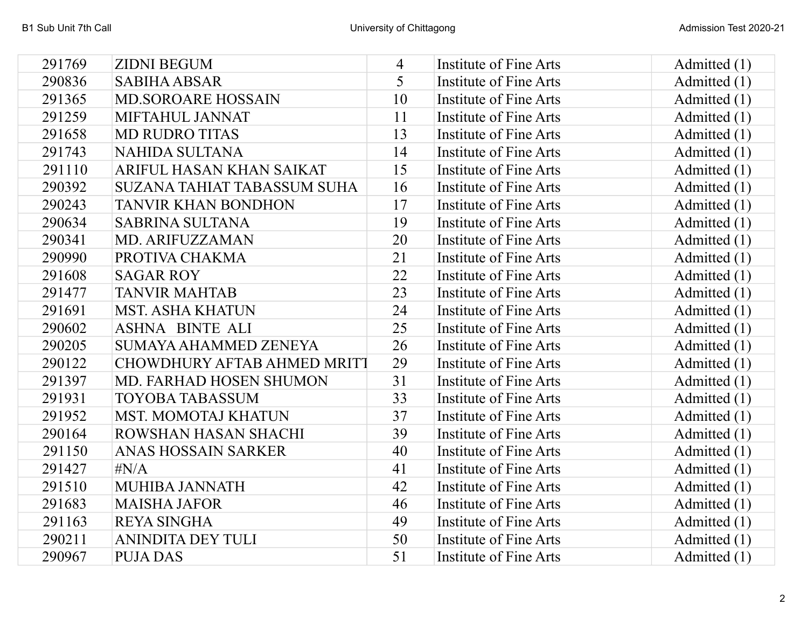| 291769 | <b>ZIDNI BEGUM</b>                 | 4  | Institute of Fine Arts        | Admitted (1)   |
|--------|------------------------------------|----|-------------------------------|----------------|
| 290836 | <b>SABIHA ABSAR</b>                | 5  | Institute of Fine Arts        | Admitted $(1)$ |
| 291365 | <b>MD.SOROARE HOSSAIN</b>          | 10 | Institute of Fine Arts        | Admitted (1)   |
| 291259 | MIFTAHUL JANNAT                    | 11 | <b>Institute of Fine Arts</b> | Admitted (1)   |
| 291658 | <b>MD RUDRO TITAS</b>              | 13 | Institute of Fine Arts        | Admitted (1)   |
| 291743 | <b>NAHIDA SULTANA</b>              | 14 | Institute of Fine Arts        | Admitted $(1)$ |
| 291110 | ARIFUL HASAN KHAN SAIKAT           | 15 | Institute of Fine Arts        | Admitted $(1)$ |
| 290392 | <b>SUZANA TAHIAT TABASSUM SUHA</b> | 16 | Institute of Fine Arts        | Admitted (1)   |
| 290243 | <b>TANVIR KHAN BONDHON</b>         | 17 | <b>Institute of Fine Arts</b> | Admitted $(1)$ |
| 290634 | <b>SABRINA SULTANA</b>             | 19 | Institute of Fine Arts        | Admitted (1)   |
| 290341 | <b>MD. ARIFUZZAMAN</b>             | 20 | <b>Institute of Fine Arts</b> | Admitted (1)   |
| 290990 | PROTIVA CHAKMA                     | 21 | Institute of Fine Arts        | Admitted (1)   |
| 291608 | <b>SAGAR ROY</b>                   | 22 | Institute of Fine Arts        | Admitted $(1)$ |
| 291477 | <b>TANVIR MAHTAB</b>               | 23 | Institute of Fine Arts        | Admitted (1)   |
| 291691 | <b>MST. ASHA KHATUN</b>            | 24 | Institute of Fine Arts        | Admitted $(1)$ |
| 290602 | <b>ASHNA BINTE ALI</b>             | 25 | <b>Institute of Fine Arts</b> | Admitted $(1)$ |
| 290205 | <b>SUMAYA AHAMMED ZENEYA</b>       | 26 | Institute of Fine Arts        | Admitted (1)   |
| 290122 | <b>CHOWDHURY AFTAB AHMED MRITT</b> | 29 | Institute of Fine Arts        | Admitted $(1)$ |
| 291397 | MD. FARHAD HOSEN SHUMON            | 31 | Institute of Fine Arts        | Admitted (1)   |
| 291931 | <b>TOYOBA TABASSUM</b>             | 33 | Institute of Fine Arts        | Admitted $(1)$ |
| 291952 | <b>MST. MOMOTAJ KHATUN</b>         | 37 | Institute of Fine Arts        | Admitted (1)   |
| 290164 | ROWSHAN HASAN SHACHI               | 39 | <b>Institute of Fine Arts</b> | Admitted $(1)$ |
| 291150 | ANAS HOSSAIN SARKER                | 40 | <b>Institute of Fine Arts</b> | Admitted (1)   |
| 291427 | $\sharp N/A$                       | 41 | Institute of Fine Arts        | Admitted (1)   |
| 291510 | <b>MUHIBA JANNATH</b>              | 42 | Institute of Fine Arts        | Admitted $(1)$ |
| 291683 | <b>MAISHA JAFOR</b>                | 46 | Institute of Fine Arts        | Admitted (1)   |
| 291163 | <b>REYA SINGHA</b>                 | 49 | Institute of Fine Arts        | Admitted $(1)$ |
| 290211 | <b>ANINDITA DEY TULI</b>           | 50 | Institute of Fine Arts        | Admitted $(1)$ |
| 290967 | <b>PUJA DAS</b>                    | 51 | Institute of Fine Arts        | Admitted (1)   |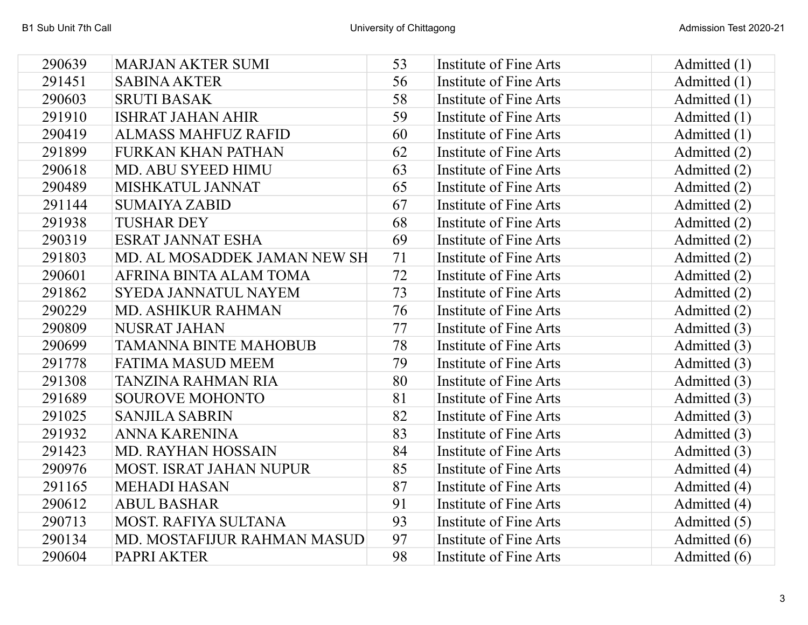| 290639 | <b>MARJAN AKTER SUMI</b>       | 53 | Institute of Fine Arts        | Admitted $(1)$ |
|--------|--------------------------------|----|-------------------------------|----------------|
| 291451 | <b>SABINA AKTER</b>            | 56 | Institute of Fine Arts        | Admitted (1)   |
| 290603 | <b>SRUTI BASAK</b>             | 58 | Institute of Fine Arts        | Admitted (1)   |
| 291910 | <b>ISHRAT JAHAN AHIR</b>       | 59 | Institute of Fine Arts        | Admitted $(1)$ |
| 290419 | <b>ALMASS MAHFUZ RAFID</b>     | 60 | Institute of Fine Arts        | Admitted (1)   |
| 291899 | <b>FURKAN KHAN PATHAN</b>      | 62 | Institute of Fine Arts        | Admitted (2)   |
| 290618 | <b>MD. ABU SYEED HIMU</b>      | 63 | Institute of Fine Arts        | Admitted (2)   |
| 290489 | MISHKATUL JANNAT               | 65 | Institute of Fine Arts        | Admitted (2)   |
| 291144 | <b>SUMAIYA ZABID</b>           | 67 | Institute of Fine Arts        | Admitted (2)   |
| 291938 | <b>TUSHAR DEY</b>              | 68 | Institute of Fine Arts        | Admitted (2)   |
| 290319 | <b>ESRAT JANNAT ESHA</b>       | 69 | Institute of Fine Arts        | Admitted (2)   |
| 291803 | MD. AL MOSADDEK JAMAN NEW SH   | 71 | Institute of Fine Arts        | Admitted (2)   |
| 290601 | AFRINA BINTA ALAM TOMA         | 72 | Institute of Fine Arts        | Admitted (2)   |
| 291862 | <b>SYEDA JANNATUL NAYEM</b>    | 73 | Institute of Fine Arts        | Admitted (2)   |
| 290229 | <b>MD. ASHIKUR RAHMAN</b>      | 76 | Institute of Fine Arts        | Admitted (2)   |
| 290809 | <b>NUSRAT JAHAN</b>            | 77 | Institute of Fine Arts        | Admitted (3)   |
| 290699 | <b>TAMANNA BINTE MAHOBUB</b>   | 78 | Institute of Fine Arts        | Admitted (3)   |
| 291778 | <b>FATIMA MASUD MEEM</b>       | 79 | <b>Institute of Fine Arts</b> | Admitted (3)   |
| 291308 | <b>TANZINA RAHMAN RIA</b>      | 80 | Institute of Fine Arts        | Admitted (3)   |
| 291689 | <b>SOUROVE MOHONTO</b>         | 81 | Institute of Fine Arts        | Admitted (3)   |
| 291025 | <b>SANJILA SABRIN</b>          | 82 | Institute of Fine Arts        | Admitted (3)   |
| 291932 | <b>ANNA KARENINA</b>           | 83 | Institute of Fine Arts        | Admitted (3)   |
| 291423 | <b>MD. RAYHAN HOSSAIN</b>      | 84 | <b>Institute of Fine Arts</b> | Admitted (3)   |
| 290976 | <b>MOST. ISRAT JAHAN NUPUR</b> | 85 | Institute of Fine Arts        | Admitted (4)   |
| 291165 | <b>MEHADI HASAN</b>            | 87 | Institute of Fine Arts        | Admitted (4)   |
| 290612 | <b>ABUL BASHAR</b>             | 91 | Institute of Fine Arts        | Admitted (4)   |
| 290713 | <b>MOST. RAFIYA SULTANA</b>    | 93 | Institute of Fine Arts        | Admitted (5)   |
| 290134 | MD. MOSTAFIJUR RAHMAN MASUD    | 97 | Institute of Fine Arts        | Admitted (6)   |
| 290604 | PAPRI AKTER                    | 98 | Institute of Fine Arts        | Admitted (6)   |